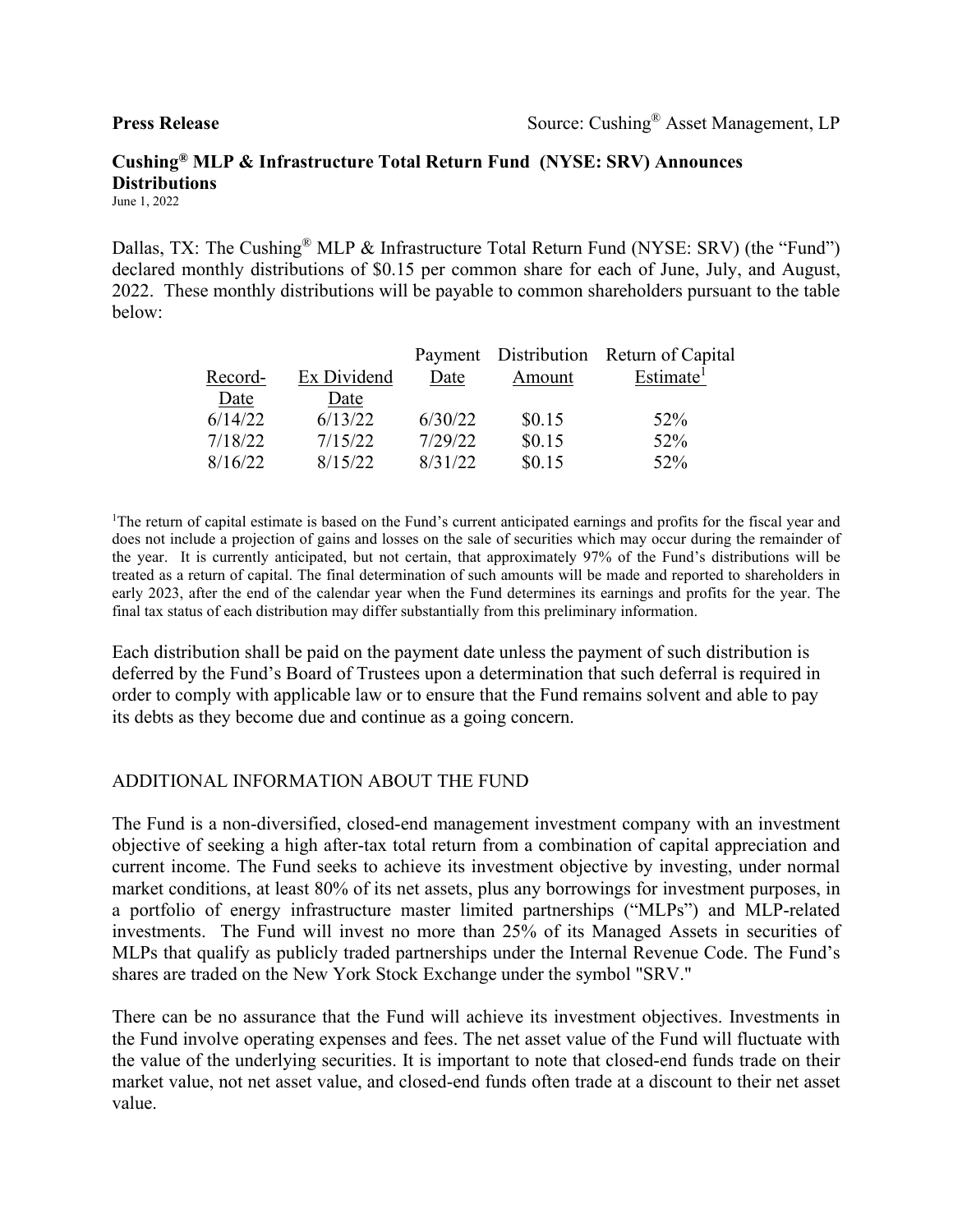# **Cushing® MLP & Infrastructure Total Return Fund (NYSE: SRV) Announces Distributions**

June 1, 2022

Dallas, TX: The Cushing<sup>®</sup> MLP & Infrastructure Total Return Fund (NYSE: SRV) (the "Fund") declared monthly distributions of \$0.15 per common share for each of June, July, and August, 2022. These monthly distributions will be payable to common shareholders pursuant to the table below:

|         |             |         |        | Payment Distribution Return of Capital |
|---------|-------------|---------|--------|----------------------------------------|
| Record- | Ex Dividend | Date    | Amount | Estimate <sup>1</sup>                  |
| Date    | Date        |         |        |                                        |
| 6/14/22 | 6/13/22     | 6/30/22 | \$0.15 | 52%                                    |
| 7/18/22 | 7/15/22     | 7/29/22 | \$0.15 | 52%                                    |
| 8/16/22 | 8/15/22     | 8/31/22 | \$0.15 | $52\%$                                 |

<sup>1</sup>The return of capital estimate is based on the Fund's current anticipated earnings and profits for the fiscal year and does not include a projection of gains and losses on the sale of securities which may occur during the remainder of the year. It is currently anticipated, but not certain, that approximately 97% of the Fund's distributions will be treated as a return of capital. The final determination of such amounts will be made and reported to shareholders in early 2023, after the end of the calendar year when the Fund determines its earnings and profits for the year. The final tax status of each distribution may differ substantially from this preliminary information.

Each distribution shall be paid on the payment date unless the payment of such distribution is deferred by the Fund's Board of Trustees upon a determination that such deferral is required in order to comply with applicable law or to ensure that the Fund remains solvent and able to pay its debts as they become due and continue as a going concern.

### ADDITIONAL INFORMATION ABOUT THE FUND

The Fund is a non-diversified, closed-end management investment company with an investment objective of seeking a high after-tax total return from a combination of capital appreciation and current income. The Fund seeks to achieve its investment objective by investing, under normal market conditions, at least 80% of its net assets, plus any borrowings for investment purposes, in a portfolio of energy infrastructure master limited partnerships ("MLPs") and MLP-related investments. The Fund will invest no more than 25% of its Managed Assets in securities of MLPs that qualify as publicly traded partnerships under the Internal Revenue Code. The Fund's shares are traded on the New York Stock Exchange under the symbol "SRV."

There can be no assurance that the Fund will achieve its investment objectives. Investments in the Fund involve operating expenses and fees. The net asset value of the Fund will fluctuate with the value of the underlying securities. It is important to note that closed-end funds trade on their market value, not net asset value, and closed-end funds often trade at a discount to their net asset value.